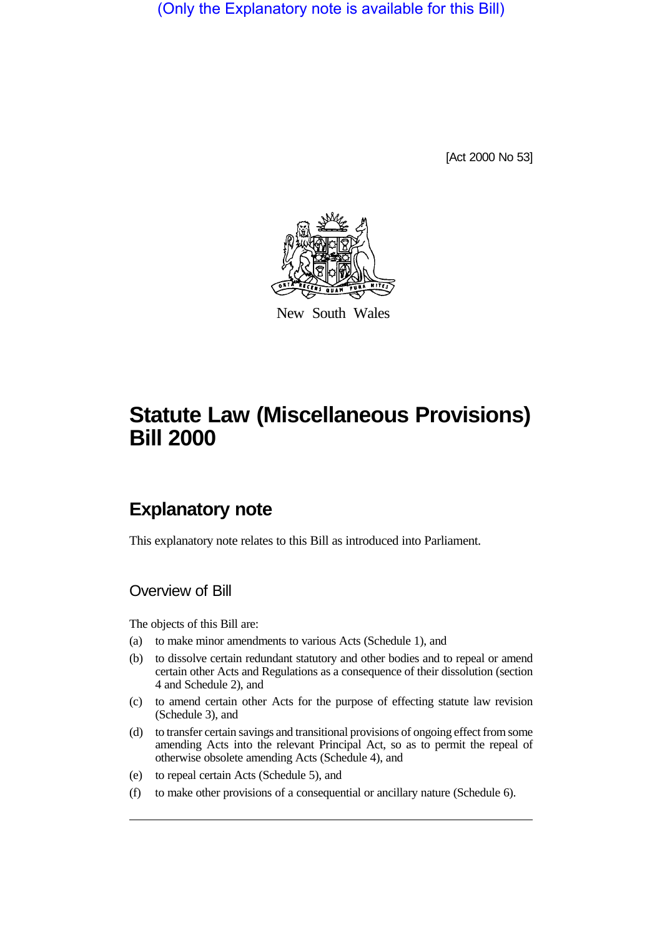(Only the Explanatory note is available for this Bill)

[Act 2000 No 53]



New South Wales

# **Statute Law (Miscellaneous Provisions) Bill 2000**

## **Explanatory note**

This explanatory note relates to this Bill as introduced into Parliament.

## Overview of Bill

The objects of this Bill are:

- (a) to make minor amendments to various Acts (Schedule 1), and
- (b) to dissolve certain redundant statutory and other bodies and to repeal or amend certain other Acts and Regulations as a consequence of their dissolution (section 4 and Schedule 2), and
- (c) to amend certain other Acts for the purpose of effecting statute law revision (Schedule 3), and
- (d) to transfer certain savings and transitional provisions of ongoing effect from some amending Acts into the relevant Principal Act, so as to permit the repeal of otherwise obsolete amending Acts (Schedule 4), and
- (e) to repeal certain Acts (Schedule 5), and
- (f) to make other provisions of a consequential or ancillary nature (Schedule 6).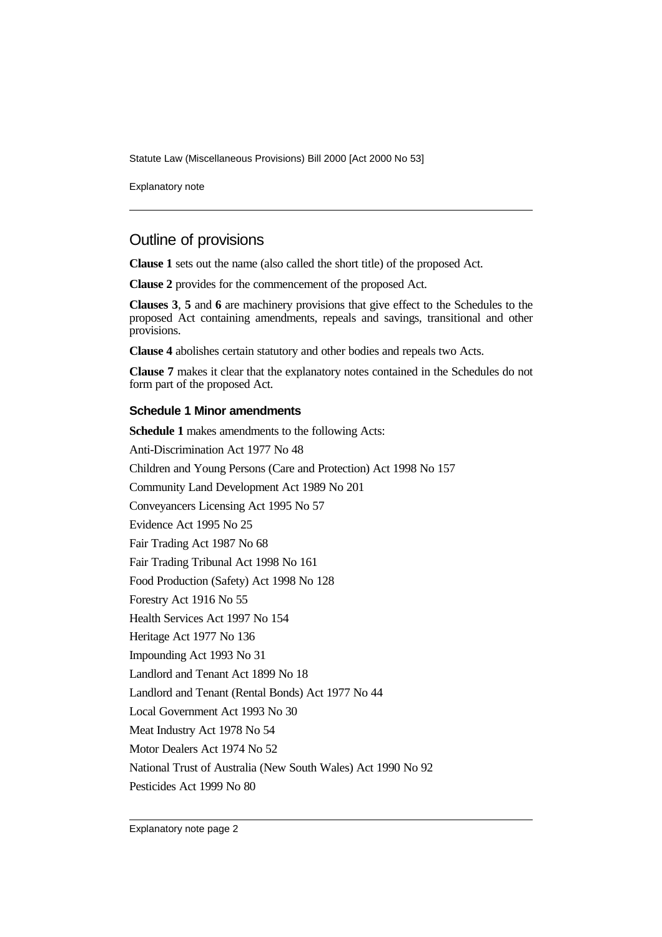Statute Law (Miscellaneous Provisions) Bill 2000 [Act 2000 No 53]

Explanatory note

### Outline of provisions

**Clause 1** sets out the name (also called the short title) of the proposed Act.

**Clause 2** provides for the commencement of the proposed Act.

**Clauses 3**, **5** and **6** are machinery provisions that give effect to the Schedules to the proposed Act containing amendments, repeals and savings, transitional and other provisions.

**Clause 4** abolishes certain statutory and other bodies and repeals two Acts.

**Clause 7** makes it clear that the explanatory notes contained in the Schedules do not form part of the proposed Act.

#### **Schedule 1 Minor amendments**

**Schedule 1** makes amendments to the following Acts: Anti-Discrimination Act 1977 No 48 Children and Young Persons (Care and Protection) Act 1998 No 157 Community Land Development Act 1989 No 201 Conveyancers Licensing Act 1995 No 57 Evidence Act 1995 No 25 Fair Trading Act 1987 No 68 Fair Trading Tribunal Act 1998 No 161 Food Production (Safety) Act 1998 No 128 Forestry Act 1916 No 55 Health Services Act 1997 No 154 Heritage Act 1977 No 136 Impounding Act 1993 No 31 Landlord and Tenant Act 1899 No 18 Landlord and Tenant (Rental Bonds) Act 1977 No 44 Local Government Act 1993 No 30 Meat Industry Act 1978 No 54 Motor Dealers Act 1974 No 52 National Trust of Australia (New South Wales) Act 1990 No 92 Pesticides Act 1999 No 80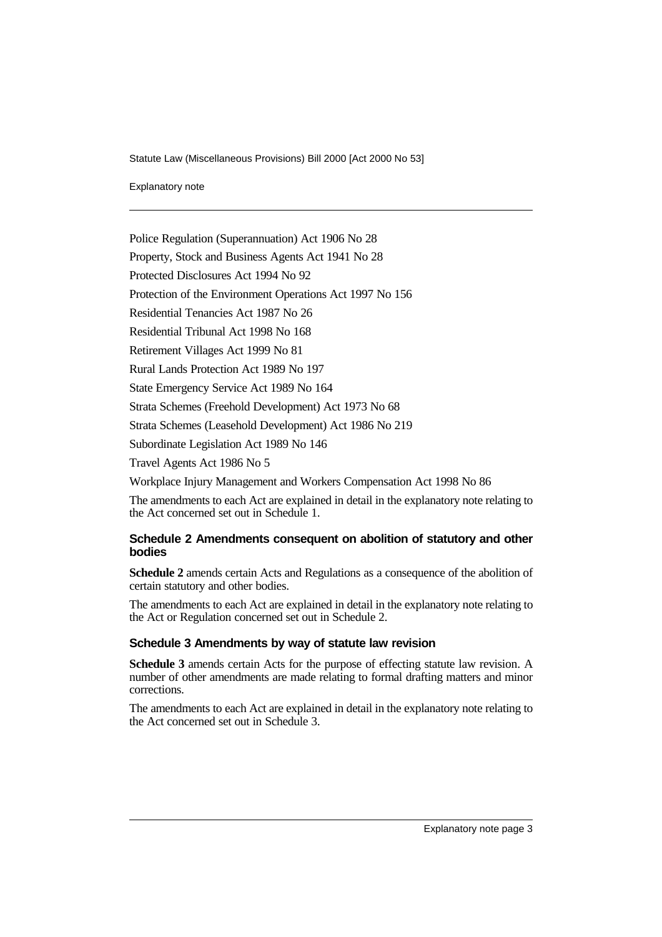Statute Law (Miscellaneous Provisions) Bill 2000 [Act 2000 No 53]

Explanatory note

Police Regulation (Superannuation) Act 1906 No 28

Property, Stock and Business Agents Act 1941 No 28

Protected Disclosures Act 1994 No 92

Protection of the Environment Operations Act 1997 No 156

Residential Tenancies Act 1987 No 26

Residential Tribunal Act 1998 No 168

Retirement Villages Act 1999 No 81

Rural Lands Protection Act 1989 No 197

State Emergency Service Act 1989 No 164

Strata Schemes (Freehold Development) Act 1973 No 68

Strata Schemes (Leasehold Development) Act 1986 No 219

Subordinate Legislation Act 1989 No 146

Travel Agents Act 1986 No 5

Workplace Injury Management and Workers Compensation Act 1998 No 86

The amendments to each Act are explained in detail in the explanatory note relating to the Act concerned set out in Schedule 1.

#### **Schedule 2 Amendments consequent on abolition of statutory and other bodies**

**Schedule 2** amends certain Acts and Regulations as a consequence of the abolition of certain statutory and other bodies.

The amendments to each Act are explained in detail in the explanatory note relating to the Act or Regulation concerned set out in Schedule 2.

#### **Schedule 3 Amendments by way of statute law revision**

**Schedule 3** amends certain Acts for the purpose of effecting statute law revision. A number of other amendments are made relating to formal drafting matters and minor corrections.

The amendments to each Act are explained in detail in the explanatory note relating to the Act concerned set out in Schedule 3.